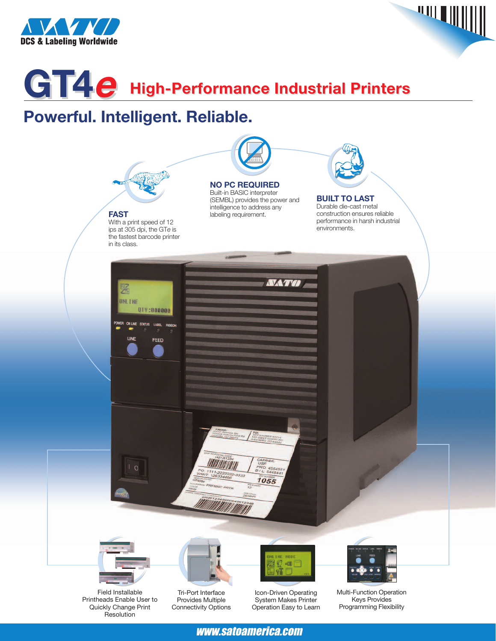



# **GT4<sup>e</sup> High-Performance Industrial Printers High-Performance Industrial Printers**

## **Powerful. Intelligent. Reliable.**



Printheads Enable User to Quickly Change Print Resolution

Provides Multiple Connectivity Options

System Makes Printer Operation Easy to Learn

Keys Provides Programming Flexibility

### www.satoamerica.com